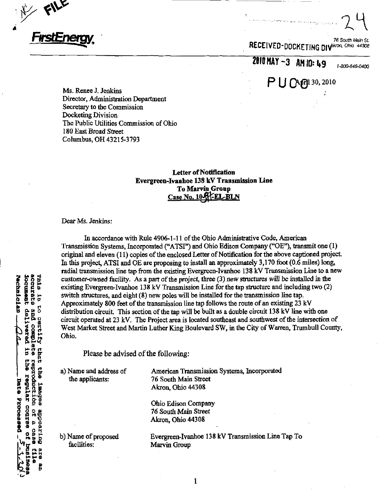

76 South Main St. RECEIVED-DOCKETING DIV<sup>ARTON, Ohio 44308</sup>

2010 MAY -3 AM 10: 49

P U CAG1130, 2010

1-800-646-0400  $\frac{1}{\sqrt{1-\frac{1}{\sqrt{1-\frac{1}{\sqrt{1-\frac{1}{\sqrt{1-\frac{1}{\sqrt{1-\frac{1}{\sqrt{1-\frac{1}{\sqrt{1-\frac{1}{\sqrt{1-\frac{1}{\sqrt{1-\frac{1}{\sqrt{1-\frac{1}{\sqrt{1-\frac{1}{\sqrt{1-\frac{1}{\sqrt{1-\frac{1}{\sqrt{1-\frac{1}{\sqrt{1-\frac{1}{\sqrt{1-\frac{1}{\sqrt{1-\frac{1}{\sqrt{1-\frac{1}{\sqrt{1-\frac{1}{\sqrt{1-\frac{1}{\sqrt{1-\frac{1}{\sqrt{1-\frac{1}{\sqrt{1-\frac{1}{\sqrt{1-\frac{1$ 

Ms. Renee J. Jenkins Director, Administration Department Secretary to the Commission Docketing Division The Public Utilities Commission of Ohio 180 East Broad Street Columbus, OH 43215-3793

# Letter of Notification Evergreen-Ivanhoe 138 kV Transmission Line To Marvin Group Case No. 10-FFEL-BLN

Dear Ms. Jenkins:

In accordance with Rule 4906-1-11 of the Ohio Administrative Code, American Transmission Systems, Incorporated ("ATSI") and Ohio Edison Company ("OE"), transmit one (1) original and eleven (11) copies of the enclosed Letter of Notification for the above captioned project. In this project, ATSI and OE are proposing to install an approximately 3,170 foot (0.6 miles) long, radial transmission line tap from the existing Evergreen-Ivanhoe 138 kV Transmission Line to a new customer-owned facility. As a part of the project, three (3) new structures will be installed in the existing Evergreen-Ivanhoe 138 kV Transmission Line for the tap structure and including two (2) switch structures, and eight (8) new poles will be installed for the transmission line tap. Approximately 800 feet of the transmission lme tap follows the route of an existing 23 kV distribution circuit. This section of the tap will be built as a double circuit 138 kV line with one circuit operated at 23 kV. The Project area is located southeast and southwest of the intersection of West Market Street and Martin Luther King Boulevard SW, in the City of Warren, Trumbull County, Ohio.

Please be advised of the following:

a) Name and address of the applicants:

American Transmission Systems, Incorporated 76 South Main Street Akron, Ohio 44308

Ohio Edison Company 76 South Main Street Akron, Ohio 44308

 $\mathbf 1$ 

b) Name of proposed facilities:

g

**are** 

ETUL accurate **Jueminopt** rechnician

 $\frac{1}{2}$  $\overline{5}$ 

certity compiete

Chat

**Labges** 

**Butteedal** p

8988

Cellvered

 $\overline{u}$ 

eu?

regular course of Date Processed

**TTRD** 

reproduction ens

pue

Evergreen-Ivanhoe 138 kV Transmission Lme Tap To Marvin Group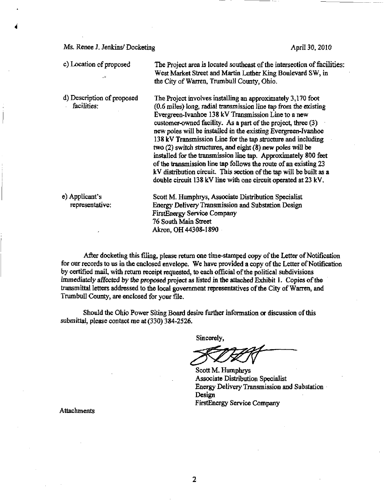Ms. Renee J. Jenkins/ Docketing April 30, 2010

c) Location of proposed The Project area is located southeast of the intersection of facilities: West Market Street and Martin Luther King Boulevard SW, in the City of Warren, Trumbull County, Ohio. d) Description of proposed facilities: The Project involves installing an approximately 3,170 foot  $(0.6 \text{ miles})$  long, radial transmission line tap from the existing Evergreen-Ivanhoe 138 kV Transmission Line to a new customer-owned facitity. As a part of the project, three (3) new poles will be installed in the existing Evergreen-Ivanhoe 138 kV Transmission Line for the tap structure and including two (2) switch structures, and eight (8) new poles will be installed for the transmission lme tap. Approximately 800 feet of the transmission line tap follows the route of an existing 23 kV distribution circuit. This section of the tap will be built as a double circuit 138 kV line with one circuit operated at  $23$  kV. e) Applicant's representative: Scott M. Humphrys, Associate Distribution Specialist Energy Delivery Transmission and Substation Design FirstEnergy Service Company 76 South Main Street Akron, OH 44308-1890

After docketing this filing, please retum one tune-stamped copy of the Letter of Notification for our records to us in the enclosed envelope. We have provided a copy of the Letter of Notification by certified mail, with retum receipt requested, to each official of the political subdivisions immediately affected by the proposed project as listed in the attached Exhibit 1. Copies of the transmittal letters addressed to the local government representatives of the City of Warren, and Trumbull County, are enclosed for your file.

Should the Ohio Power Siting Board desire further information or discussion of this submittal, please contact me at (330) 384-2526.

Sincerely,

Scott M. Humphrys Associate Distribution Specialist Energy Detivery Transmission and Substation Design FirstEnergy Service Company

Attachments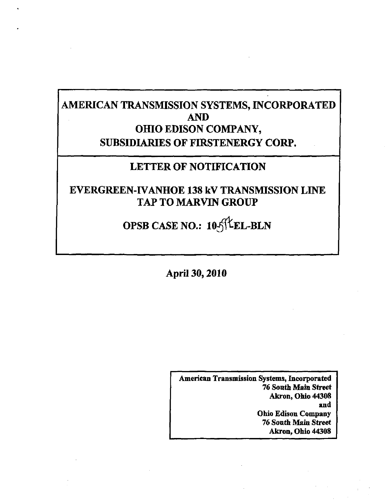# AMERICAN TRANSMISSION SYSTEMS, INCORPORATED AND OHIO EDISON COMPANY, SUBSIDIARIES OF FIRSTENERGY CORP.

# LETTER OF NOTIFICATION

EVERGREEN-IVANHOE 138 kV TRANSMISSION LINE TAP TO MARVIN GROUP

OPSB CASE NO.: 10 SILEL-BLN

April 30,2010

American Transmission Systems, Incorporated 76 South Main Street Akron, Ohio 44308 and Ohio Edison Company 76 South Main Street Akron, Ohio 44308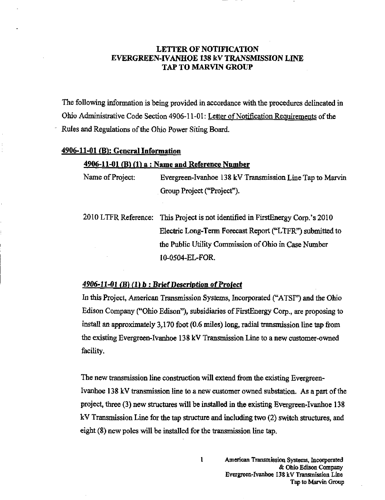# LETTER OF NOTIFICATION EVERGREEN-IVANHOE 138 kV TRANSMISSION LINE TAP TO MARVIN GROUP

The following information is being provided in accordance with the procedures delineated in Ohio Administrative Code Section 4906-11-01: Letter of Notification Requirements of the Rules and Regulations of the Ohio Power Siting Board.

# $4906-11-01$  (B): General Information

# $4906-11-01$  (B) (1) a : Name and Reference Number

Name of Project: Evergreen-Ivanhoe 138 kV Transmission Line Tap to Marvin Group Project ("Project").

2010 LTFR Reference: This Project is not identified in FirstEnergy Corp.'s 2010 Electric Long-Term Forecast Report ("LTFR") submitted to the Public Utility Commission of Ohio in Case Number 10-0504-EL-FOR.

# $4906-11-01$  (B) (1) b : Brief Description of Project

In this Project, American Transmission Systems, Incorporated ("ATSI") and the Ohio Edison Company ("Ohio Edison"), subsidiaries of FirstEnergy Corp., are proposing to install an approximately 3,170 foot (0.6 miles) long, radial transmission line tap from the existing Evergreen-Ivanhoe 138 kV Transmission Line to a new customer-owned facility.

The new transmission line construction will extend from the existing Evergreen-Ivanhoe 138 kV transmission line to a new customer owned substation. As a part of the project, three (3) new structures will be installed in the existing Evergreen-Ivanhoe 138 kV Transmission Line for the tap structure and mcluding two (2) switch structures, and eight (8) new poles will be installed for the transmission line tap.

 $\mathbf{1}$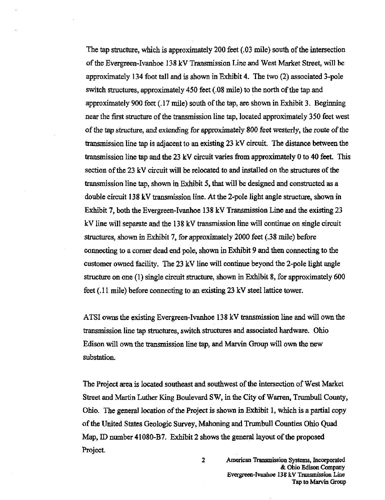The tap structure, which is approximately 200 feet (.03 mile) south of the intersection of the Evergreen-Ivanhoe 138 kV Transmission Line and West Market Street, will be approximately 134 foot tall and is shown in Exhibit 4. The two (2) associated 3-pole switch structures, approximately 450 feet (.08 mile) to the north of the tap and approximately 900 feet (.17 mile) south of the tap, are shown in Exhibit 3. Beginning near the first structure of the transmission line tap, located approximately 350 feet west of the tap structure, and extending for approximately 800 feet westerly, the route of the transmission line tap is adjacent to an existing 23 kV circuit. The distance between the transmission line tap and the 23 kV circuit varies firom approximately 0 to 40 feet. This section of the 23 kV circuit will be relocated to and installed on the structures of the transmission line tap, shown in Exhibit 5, that will be designed and constructed as a double circuit 138 kV transmission line. At the 2-pole light angle structure, shown in Exhibit 7, both the Evergreen-Ivanhoe 138 kV Transmission Line and the existing 23 kV line will separate and the 138 kV transmission line will continue on single circuit structures, shown in Exhibit 7, for approximately 2000 feet (.38 mile) before connecting to a comer dead end pole, shown in Exhibit 9 and then connecting to the customer owned facility. The 23 kV line will continue beyond the 2-pole light angle structure on one (1) single circuit structure, shown in Exhibit 8, for approximately 600 feet (. 11 mile) before connecting to an existing 23 kV steel lattice tower.

ATSI owns the existing Evergreen-Ivanhoe 138 kV transmission line and will own the transmission line tap structures, switch structures and associated hardware. Ohio Edison will own the transmission line tap, and Marvin Group will own the new substation.

The Project area is located southeast and southwest of the intersection of West Market Street and Martin Luther King Boulevard SW, in the City of Warren, Trumbull County, Ohio. The general location of the Project is shown in Exhibit 1, which is a partial copy of the United States Geologic Survey, Mahoning and Trumbull Counties Ohio Quad Map, ID number 41080-B7. Exhibit 2 shows the general layout of the proposed Project.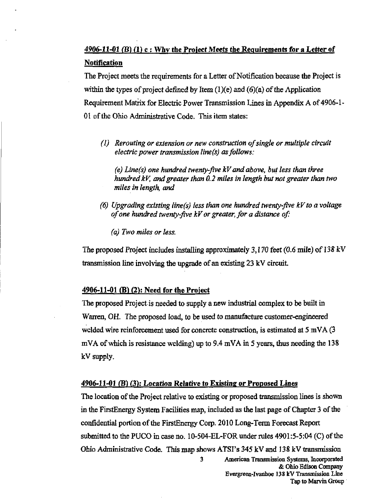# $4906-11-01$  (B) (1) c : Why the Project Meets the Requirements for a Letter of **Notification**

The Project meets the requirements for a Letter of Notification because the Project is within the types of project defined by Item  $(1)(e)$  and  $(6)(a)$  of the Application Requirement Matrix for Electric Power Transmission Lines in Appendix A of 4906-1- 01 of the Ohio Administrative Code. This item states:

(I) Rerouting or extension or new construction of single or multiple circuit electric power transmission line(s) as follows:

(e) Line(s) one hundred twenty-five  $kV$  and above, but less than three hundred  $kV$ , and greater than  $0.2$  miles in length but not greater than two miles in length, and

(6) Upgrading existing line(s) less than one hundred twenty-five kV to a voltage of one hundred twenty-five kVor greater, for a distance of:

(a) Two miles or less.

The proposed Project mcludes installing approximately 3,170 feet (0.6 mile) of 138 kV transmission line involving the upgrade of an existing 23 kV circuit.

# $4906 - 11 - 01$  (B) (2): Need for the Project

The proposed Project is needed to supply a new mdustrial complex to be buih in Wanren, OH. The proposed load, to be used to manufacture customer-engineered welded wire reinforcement used for concrete construction, is estimated at  $5 \text{ mVA}$  (3) mVA of which is resistance welding) up to 9.4 mVA in 5 years, thus needing the 138 kV supply.

# 4906-11-01 (B) (3): Location Relative to Existing or Proposed Lines

The location of the Project relative to existing or proposed transmission lines is shown in the FirstEnergy System Facilities map, included as the last page of Chapter 3 of the confidential portion of the FirstEnergy Corp. 2010 Long-Term Forecast Report submitted to the PUCO in case no. 10-504-EL-FOR under rules  $4901:5-5:04$  (C) of the Ohio Administrative Code. This map shows ATSI's 345 kV and 138 kV transmission 3 American Transmission Systems, Incorporated & Ohio Edison Company

Evergreen-Ivanhoe 138 kV Transmission Line Tap to Marvin Group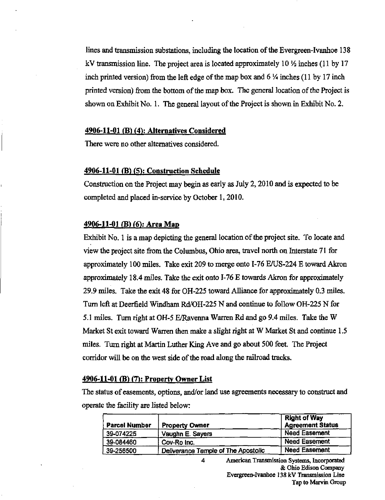lines and transmission substations, including the location of the Evergreen-Ivanhoe 138 kV transmission line. The project area is located approximately  $10\frac{1}{2}$  inches (11 by 17 inch printed version) from the left edge of the map box and  $6\frac{1}{4}$  inches (11 by 17 inch printed version) from the bottom of the map box. The general location of the Project is shown on Exhibit No. 1. The general layout of the Project is shown in Exhibit No. 2.

#### $4906-11-01$  (B) (4): Alternatives Considered

There were no other alternatives considered.

# 4906-11-01 (B) (5): Construction Schedule

Construction on the Project may begin as early as July 2,2010 and is expected to be completed and placed in-service by October 1,2010.

#### $4906-11-01$  (B) (6): Area Map

Exhibit No. 1 is a map depicting the general location of the project site. To locate and view the project site from the Columbus, Ohio area, travel north on Interstate 71 for approximately 100 miles. Take exit 209 to merge onto 1-76 E/US-224 E toward Akron approximately 18.4 miles. Take the exit onto 1-76 E towards Akron for approximately 29.9 miles. Take the exit 48 for OH-225 toward Alliance for approximately 0.3 miles. Turn left at Deerfield Windham Rd/OH-225 N and continue to follow OH-225 N for 5.1 miles. Turn right at OH-5 E/Ravenna Warren Rd and go 9.4 miles. Take the W Market St exit toward Warren then make a slight right at W Market St and continue 1.5 miles. Turn right at Martin Luther King Ave and go about 500 feet. The Project corridor will be on the west side of the road along the railroad tracks.

# 4906-11-01 (B) (7): Property Owner List

The status of easements, options, and/or land use agreements necessary to construct and operate the facility are listed below:

4

| <b>Parcel Number</b> | <b>Property Owner</b>               | <b>Right of Way</b><br><b>Agreement Status</b> |
|----------------------|-------------------------------------|------------------------------------------------|
| 39-074225            | Vaughn E. Sayers                    | <b>Need Easement</b>                           |
| 39-084460            | Cov-Ro Inc.                         | <b>Need Easement</b>                           |
| 39-256500            | Deliverance Temple of The Apostolic | <b>Need Easement</b>                           |

American Transmission Systems, Incorporated & Ohio Edison Company Evergreen-Ivanhoe 138 kV Transmission Line Tap to Marvin Group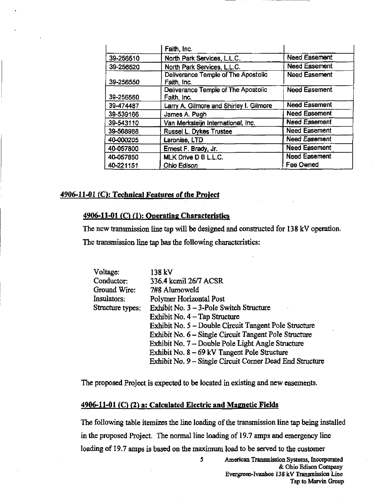|           | Faith, Inc.                                        |                      |
|-----------|----------------------------------------------------|----------------------|
| 39-256510 | North Park Services, L.L.C.                        | <b>Need Easement</b> |
| 39-256520 | North Park Services, L.L.C.                        | <b>Need Easement</b> |
| 39-256550 | Deliverance Temple of The Apostolic<br>Faith, Inc. | <b>Need Easement</b> |
| 39-256560 | Deliverance Temple of The Apostolic<br>Faith, Inc. | <b>Need Easement</b> |
| 39-474487 | Larry A. Gilmore and Shirley I. Gilmore            | <b>Need Easement</b> |
| 39-539166 | James A. Pugh                                      | <b>Need Easement</b> |
| 39-543110 | Van Merksteijn International, Inc.                 | <b>Need Easement</b> |
| 39-568988 | Russel L. Dykes Trustee                            | <b>Need Easement</b> |
| 40-000205 | Laronise, LTD                                      | <b>Need Easement</b> |
| 40-057800 | Ernest F. Brady, Jr.                               | <b>Need Easement</b> |
| 40-057850 | MLK Drive D B L.L.C.                               | <b>Need Easement</b> |
| 40-221151 | Ohio Edison                                        | Fee Owned            |

# 4906-11-01 (C): Technical Features of the Project

# $4906-11-01$  (C) (1): Operating Characteristics

The new transmission line tap will be designed and constructed for 138 kV operation.

The transmission line tap has the following characteristics:

| Voltage:         | 138 kV                                                   |
|------------------|----------------------------------------------------------|
| Conductor:       | 336.4 kcmil 26/7 ACSR                                    |
| Ground Wire:     | 7#8 Alumoweld                                            |
| Insulators:      | Polymer Horizontal Post                                  |
| Structure types: | Exhibit No. 3 - 3-Pole Switch Structure                  |
|                  | Exhibit No. 4 – Tap Structure                            |
|                  | Exhibit No. 5 – Double Circuit Tangent Pole Structure    |
|                  | Exhibit No. 6 – Single Circuit Tangent Pole Structure    |
|                  | Exhibit No. 7 – Double Pole Light Angle Structure        |
|                  | Exhibit No. $8 - 69$ kV Tangent Pole Structure           |
|                  | Exhibit No. 9 – Single Circuit Corner Dead End Structure |

The proposed Project is expected to be located in existing and new easements.

### 4906-11-01 (C) (2) a: Calculated Electric and Magnetic Fields

The following table itemizes the line loading of the transmission tine tap being installed in the proposed Project. The normal line loading of 19.7 amps and emergency line loading of 19.7 amps is based on the maximum load to be served to the customer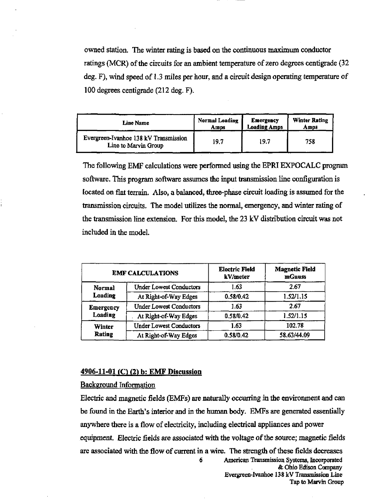ovraed station. The winter rating is based on the continuous maximum conductor ratings (MCR) of the circuits for an ambient temperature of zero degrees centigrade (32) deg. F), wind speed of 1.3 miles per hour, and a circuit design operating temperature of 100 degrees centigrade (212 deg. F).

| Line Name                                                     | <b>Normal Loading</b> | Emergency           | <b>Winter Rating</b> |
|---------------------------------------------------------------|-----------------------|---------------------|----------------------|
|                                                               | Amps                  | <b>Loading Amps</b> | Amps                 |
| Evergreen-Ivanhoe 138 kV Transmission<br>Line to Marvin Group | 19.7                  | 19.7                | 758                  |

The following EMF calculations were performed using the EPRIEXPOCALC program software. This program software assumes the input transmission line configuration is located on flat terrain. Also, a balanced, three-phase circuit loading is assumed for the transmission circuits. The model utilizes the normal, emergency, and winter rating of the transmission line extension. For this model, the 23 kV distribution circuit was not included in the model.

| <b>EMF CALCULATIONS</b>     |                                | <b>Electric Field</b><br>kV/meter | <b>Magnetic Field</b><br>mGauss |
|-----------------------------|--------------------------------|-----------------------------------|---------------------------------|
| <b>Normal</b><br>Loading    | <b>Under Lowest Conductors</b> | 1.63                              | 2.67                            |
|                             | At Right-of-Way Edges          | 0.58/0.42                         | 1.52/1.15                       |
| <b>Emergency</b><br>Loading | <b>Under Lowest Conductors</b> | 1.63                              | 2.67                            |
|                             | At Right-of-Way Edges          | 0.58/0.42                         | 1.52/1.15                       |
| Winter<br>Rating            | <b>Under Lowest Conductors</b> | 1.63                              | 102.78                          |
|                             | At Right-of-Way Edges          | 0.58/0.42                         | 58.63/44.09                     |

# 4906-11-01 (C) (2) b: EMF Discussion

#### Background Information

Electric and magnetic fields (EMFs) are naturally occurring in the envuronment and can be found in the Earth's interior and in the human body. EMFs are generated essentially anywhere there is a flow of electricity, including electrical appliances and power equipment. Electric fields are associated with the voltage of the source; magnetic fields are associated with the flow of current in a wire. The strength of these fields decreases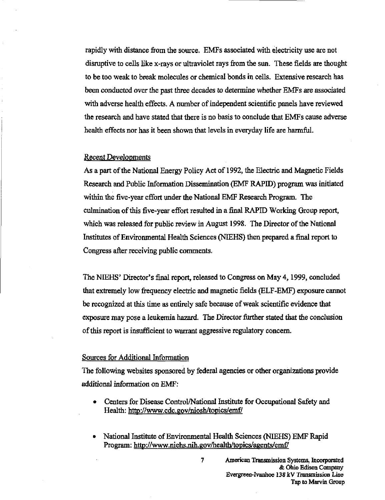rapidly with distance from the source. EMFs associated with electricity use are not disruptive to cells like x-rays or ultraviolet rays from the sun. These fields are thought to be too weak to break molecules or chemical bonds in cells. Extensive research has been conducted over the past three decades to determine whether EMFs are associated with adverse health effects. A number of independent scientific panels have reviewed the research and have stated that there is no basis to conclude that EMFs cause adverse health effects nor has it been shown that levels in everyday life are harmful.

# Recent Developments

As a part of the National Energy Policy Act of 1992, the Electric and Magnetic Fields Research and Public Information Dissemination (EMF RAPID) program was initiated within the five-year effort under the National EMF Research Program. The culmination of this five-year effort resulted in a final RAPID Working Group report, which was released for public review in August 1998. The Director of the National Institutes of Environmental Health Sciences (NEEHS) then prepared a final report to Congress after receiving public comments.

The NIEHS' Director's final report, released to Congress on May 4,1999, concluded that extremely low frequency electric and magnetic fields (ELF-EMF) exposure cannot be recognized at this time as entirely safe because of weak scientific evidence that exposure may pose a leukemia hazard. The Director further stated that the conclusion of this report is insufficient to warrant aggressive regulatory concem.

#### Sources for Additional Information

The following websites sponsored by federal agencies or other organizations provide additional information on EMF:

- Centers for Disease Control/National Institute for Occupational Safety and Health: <http://www.cdc.gov/niosh/topics/emfy>
- National Institute of Environmental Health Sciences (NIEHS) EMF Rapid Program: http://www.niehs.nih.gov/health/topics/agents/emf/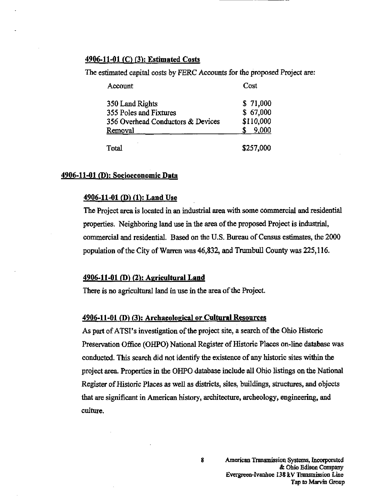# $4906 - 11 - 01$  (C) (3): Estimated Costs

The estimated capital costs by FERC Accounts for the proposed Project are:

| Account                           | Cost      |
|-----------------------------------|-----------|
| 350 Land Rights                   | \$71,000  |
| 355 Poles and Fixtures            | \$67,000  |
| 356 Overhead Conductors & Devices | \$110,000 |
| Removal                           | 9,000     |
| Total                             | \$257,000 |

# 4906-11-01 (D): Socioeconomic Data

# 4906-11-01 (D) (1): Land Use

The Project area is located in an industrial area with some commercial and residential properties. Neighboring land use in the area of the proposed Project is industrial, commercial and residential. Based on the U.S. Bureau of Census estimates, the 2000 population of the City of Warren was 46,832, and Trumbull County was 225,116.

# 4906-11-01 (D) (2): Agricultural Land

There is no agricultural land in use in the area of the Project.

#### 4906-11-01 (D) (3): Archaeological or Cultural Resources

As part of ATSI's investigation of the project site, a search of the Ohio Historic Preservation Office (OHPO) National Register of Historic Places on-line database was conducted. This search did not identify the existence of any historic sites within the project area. Properties in the OHPO database include all Ohio listings on the National Register of Historic Places as well as districts, sites, buildings, stmctures, and objects that are significant in American history, architecture, archeology, engineering, and culture.

8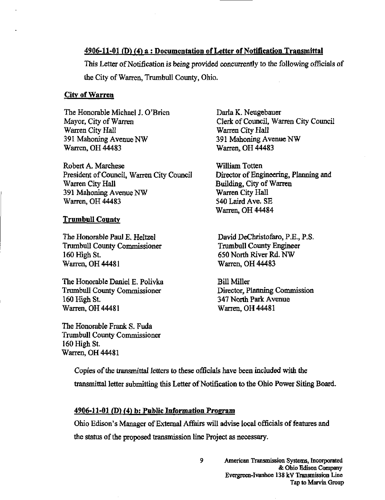# $4906-11-01$  (D) (4) a : Documentation of Letter of Notification Transmittal

This Letter of Notification is being provided concurrentiy to the following officials of the City of Warren, Trumbull County, Ohio.

#### City of Warren

The Honorable Michael J. O'Brien Mayor, City of Warren Warren City Hall 391 Mahoning Avenue NW Warren, OH 44483

Robert A. Marchese President of Council, Warren City Council Warren City Hall 391 Mahoning Avenue NW Warren, OH 44483

#### Trumbull County

The Honorable Paul E. Heltzel Trumbull County Commissioner 160 High St. Wanren, OH 44481

The Honorable Daniel E. Polivka Trumbull County Commissioner 160 High St. Warren, OH 44481

The Honorable Frank S. Fuda Trumbull County Commissioner 160 High St. Warren, OH 44481

Darla K. Neugebauer Clerk of Council, Warren City Council Warren City Hall 391 Mahoning Avenue NW Warren, OH 44483

William Totten Director of Engineering, Planning and Building, City of Warren Warren City Hall 540 Laird Ave. SE Warren, OH 44484

David DeChristofaro, P.E., P.S. Trumbull County Engineer 650 North River Rd. NW Warren, OH 44483

Bill Miller Director, Planning Commission 347 North Park Avenue Warren, OH 44481

Copies of the transmittal letters to these officials have been included with the transmittal letter submitting this Letter of Notification to the Ohio Power Siting Board.

# $4906-11-01$  (D) (4) b: Public Information Program

Ohio Edison's Manager of External Affairs will advise local officials of features and the status of the proposed transmission line Project as necessary.

9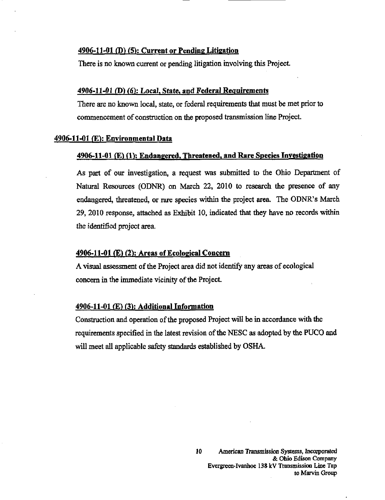#### 4906-11-01 (D) (5): Current or Pending Litigation

There is no known current or pending litigation involving this Project.

#### $4906-11-01$  (D) (6): Local, State, and Federal Requirements

There are no known local, state, or federal requirements that must be met prior to commencement of constmction on the proposed transmission line Project.

#### $4906-11-01$  (E): Environmental Data

#### 4906-11-01 (E) fl): Endangered, Threatened, and Rare Species Investigation

As part of our investigation, a request was submitted to the Ohio Department of Natural Resources (ODNR) on March 22, 2010 to research the presence of any endangered, threatened, or rare species within the project area. The ODNR's March 29, 2010 response, attached as Exhibit 10, indicated that they have no records within the identified project area.

#### 4906-11-01 (E) (2): Areas of Ecological Concem

A visual assessment of the Project area did not identify any areas of ecological concem in the immediate vicinity of the Project.

# 4906-11-01 (E) (3): Additional Information

Constmction and operation of the proposed Project will be in accordance with the requirements specified in the latest revision of the NESC as adopted by the PUCO and will meet all applicable safety standards established by OSHA.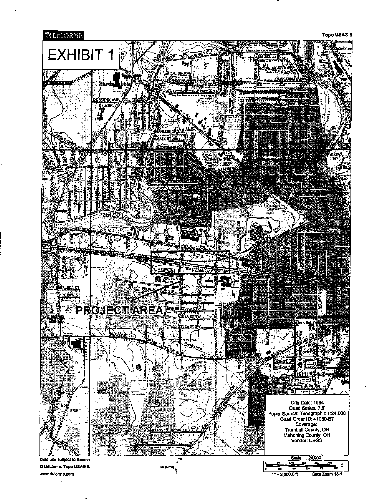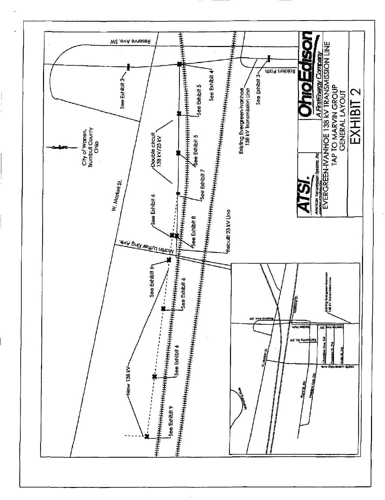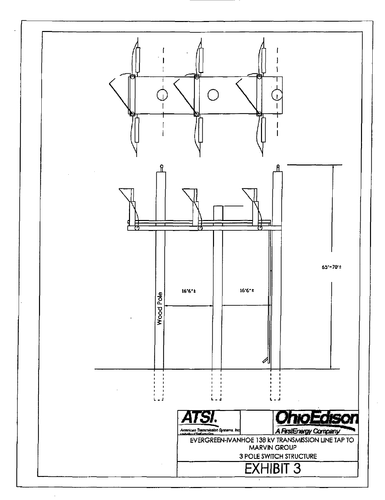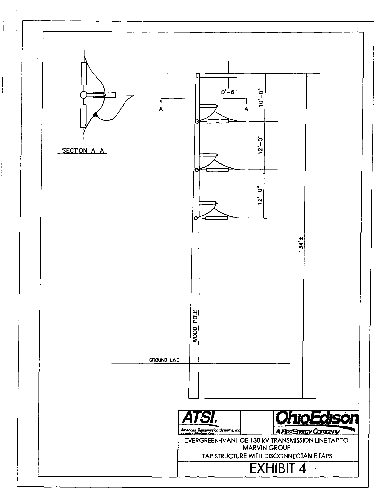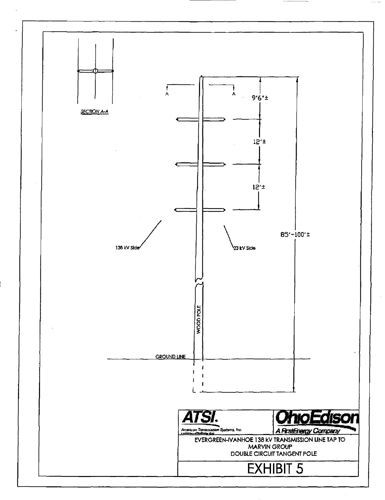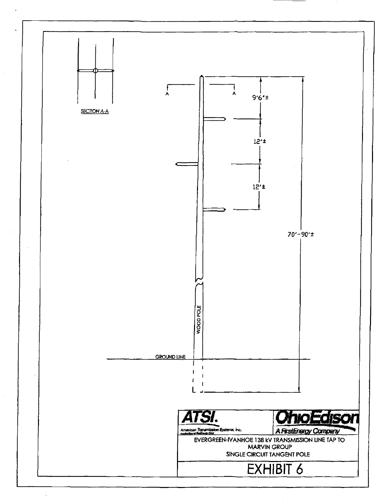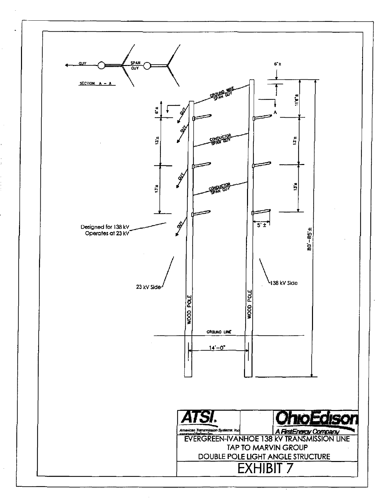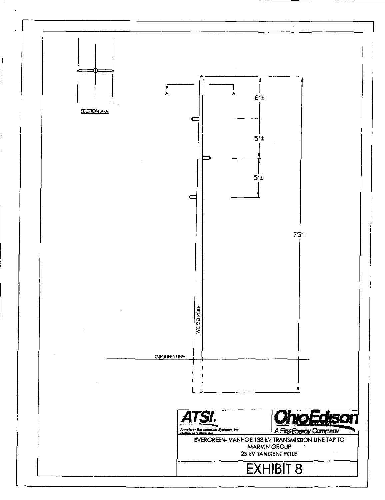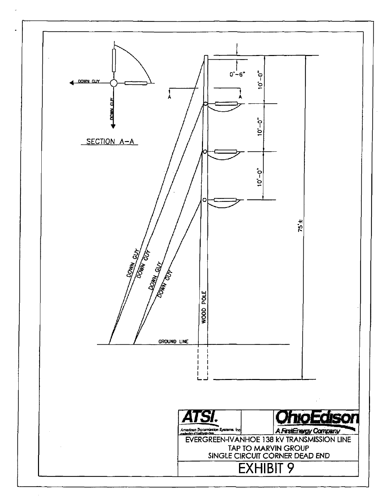